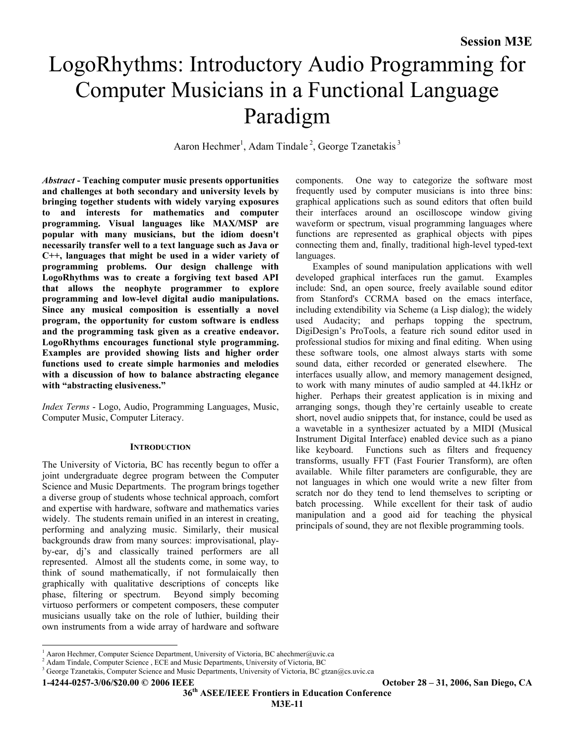# LogoRhythms: Introductory Audio Programming for Computer Musicians in a Functional Language Paradigm

Aaron Hechmer<sup>1</sup>, Adam Tindale<sup>2</sup>, George Tzanetakis<sup>3</sup>

*Abstract* **- Teaching computer music presents opportunities and challenges at both secondary and university levels by bringing together students with widely varying exposures to and interests for mathematics and computer programming. Visual languages like MAX/MSP are popular with many musicians, but the idiom doesn't necessarily transfer well to a text language such as Java or C++, languages that might be used in a wider variety of programming problems. Our design challenge with LogoRhythms was to create a forgiving text based API that allows the neophyte programmer to explore programming and low-level digital audio manipulations. Since any musical composition is essentially a novel program, the opportunity for custom software is endless and the programming task given as a creative endeavor. LogoRhythms encourages functional style programming. Examples are provided showing lists and higher order functions used to create simple harmonies and melodies with a discussion of how to balance abstracting elegance with "abstracting elusiveness."** 

*Index Terms* - Logo, Audio, Programming Languages, Music, Computer Music, Computer Literacy.

#### **INTRODUCTION**

The University of Victoria, BC has recently begun to offer a joint undergraduate degree program between the Computer Science and Music Departments. The program brings together a diverse group of students whose technical approach, comfort and expertise with hardware, software and mathematics varies widely. The students remain unified in an interest in creating, performing and analyzing music. Similarly, their musical backgrounds draw from many sources: improvisational, playby-ear, dj's and classically trained performers are all represented. Almost all the students come, in some way, to think of sound mathematically, if not formulaically then graphically with qualitative descriptions of concepts like phase, filtering or spectrum. Beyond simply becoming virtuoso performers or competent composers, these computer musicians usually take on the role of luthier, building their own instruments from a wide array of hardware and software

components. One way to categorize the software most frequently used by computer musicians is into three bins: graphical applications such as sound editors that often build their interfaces around an oscilloscope window giving waveform or spectrum, visual programming languages where functions are represented as graphical objects with pipes connecting them and, finally, traditional high-level typed-text languages.

Examples of sound manipulation applications with well developed graphical interfaces run the gamut. Examples include: Snd, an open source, freely available sound editor from Stanford's CCRMA based on the emacs interface, including extendibility via Scheme (a Lisp dialog); the widely used Audacity; and perhaps topping the spectrum, DigiDesign's ProTools, a feature rich sound editor used in professional studios for mixing and final editing. When using these software tools, one almost always starts with some sound data, either recorded or generated elsewhere. The interfaces usually allow, and memory management designed, to work with many minutes of audio sampled at 44.1kHz or higher. Perhaps their greatest application is in mixing and arranging songs, though they're certainly useable to create short, novel audio snippets that, for instance, could be used as a wavetable in a synthesizer actuated by a MIDI (Musical Instrument Digital Interface) enabled device such as a piano like keyboard. Functions such as filters and frequency transforms, usually FFT (Fast Fourier Transform), are often available. While filter parameters are configurable, they are not languages in which one would write a new filter from scratch nor do they tend to lend themselves to scripting or batch processing. While excellent for their task of audio manipulation and a good aid for teaching the physical principals of sound, they are not flexible programming tools.

<sup>&</sup>lt;sup>1</sup> Aaron Hechmer, Computer Science Department, University of Victoria, BC ahechmer@uvic.ca<br><sup>2</sup> Adem Tindale, Computer Science, FCE and Music Departments, University of Victoria, BC

<sup>&</sup>lt;sup>2</sup> Adam Tindale, Computer Science, ECE and Music Departments, University of Victoria, BC

<sup>&</sup>lt;sup>3</sup> George Tzanetakis, Computer Science and Music Departments, University of Victoria, BC gtzan@cs.uvic.ca

**<sup>1-4244-0257-3/06/\$20.00 © 2006</sup> IEEE October 28 – 31, 2006, San Diego, CA**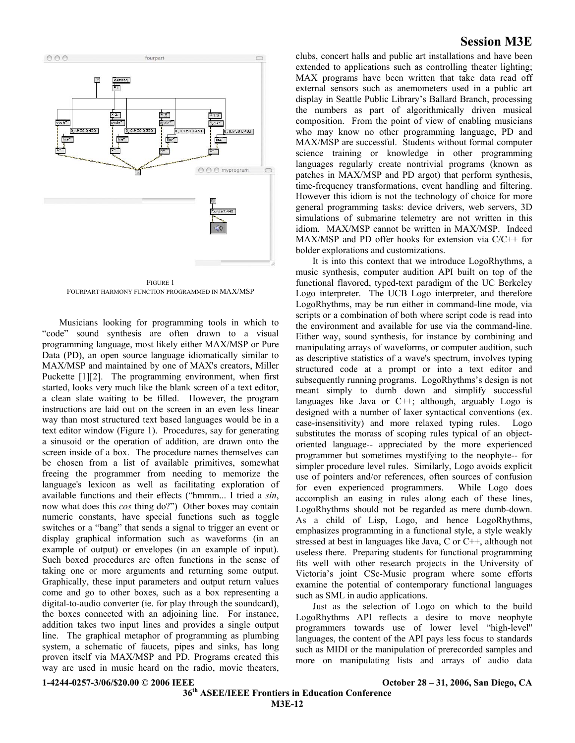

FIGURE 1 FOURPART HARMONY FUNCTION PROGRAMMED IN MAX/MSP

Musicians looking for programming tools in which to "code" sound synthesis are often drawn to a visual programming language, most likely either MAX/MSP or Pure Data (PD), an open source language idiomatically similar to MAX/MSP and maintained by one of MAX's creators, Miller Puckette [1][2]. The programming environment, when first started, looks very much like the blank screen of a text editor, a clean slate waiting to be filled. However, the program instructions are laid out on the screen in an even less linear way than most structured text based languages would be in a text editor window (Figure 1). Procedures, say for generating a sinusoid or the operation of addition, are drawn onto the screen inside of a box. The procedure names themselves can be chosen from a list of available primitives, somewhat freeing the programmer from needing to memorize the language's lexicon as well as facilitating exploration of available functions and their effects ("hmmm... I tried a *sin*, now what does this *cos* thing do?") Other boxes may contain numeric constants, have special functions such as toggle switches or a "bang" that sends a signal to trigger an event or display graphical information such as waveforms (in an example of output) or envelopes (in an example of input). Such boxed procedures are often functions in the sense of taking one or more arguments and returning some output. Graphically, these input parameters and output return values come and go to other boxes, such as a box representing a digital-to-audio converter (ie. for play through the soundcard), the boxes connected with an adjoining line. For instance, addition takes two input lines and provides a single output line. The graphical metaphor of programming as plumbing system, a schematic of faucets, pipes and sinks, has long proven itself via MAX/MSP and PD. Programs created this way are used in music heard on the radio, movie theaters,

## **Session M3E**

clubs, concert halls and public art installations and have been extended to applications such as controlling theater lighting; MAX programs have been written that take data read off external sensors such as anemometers used in a public art display in Seattle Public Library's Ballard Branch, processing the numbers as part of algorithmically driven musical composition. From the point of view of enabling musicians who may know no other programming language, PD and MAX/MSP are successful. Students without formal computer science training or knowledge in other programming languages regularly create nontrivial programs (known as patches in MAX/MSP and PD argot) that perform synthesis, time-frequency transformations, event handling and filtering. However this idiom is not the technology of choice for more general programming tasks: device drivers, web servers, 3D simulations of submarine telemetry are not written in this idiom. MAX/MSP cannot be written in MAX/MSP. Indeed MAX/MSP and PD offer hooks for extension via C/C++ for bolder explorations and customizations.

It is into this context that we introduce LogoRhythms, a music synthesis, computer audition API built on top of the functional flavored, typed-text paradigm of the UC Berkeley Logo interpreter. The UCB Logo interpreter, and therefore LogoRhythms, may be run either in command-line mode, via scripts or a combination of both where script code is read into the environment and available for use via the command-line. Either way, sound synthesis, for instance by combining and manipulating arrays of waveforms, or computer audition, such as descriptive statistics of a wave's spectrum, involves typing structured code at a prompt or into a text editor and subsequently running programs. LogoRhythms's design is not meant simply to dumb down and simplify successful languages like Java or C++; although, arguably Logo is designed with a number of laxer syntactical conventions (ex. case-insensitivity) and more relaxed typing rules. Logo substitutes the morass of scoping rules typical of an objectoriented language-- appreciated by the more experienced programmer but sometimes mystifying to the neophyte-- for simpler procedure level rules. Similarly, Logo avoids explicit use of pointers and/or references, often sources of confusion for even experienced programmers. While Logo does accomplish an easing in rules along each of these lines, LogoRhythms should not be regarded as mere dumb-down. As a child of Lisp, Logo, and hence LogoRhythms, emphasizes programming in a functional style, a style weakly stressed at best in languages like Java, C or C++, although not useless there. Preparing students for functional programming fits well with other research projects in the University of Victoria's joint CSc-Music program where some efforts examine the potential of contemporary functional languages such as SML in audio applications.

Just as the selection of Logo on which to the build LogoRhythms API reflects a desire to move neophyte programmers towards use of lower level "high-level'' languages, the content of the API pays less focus to standards such as MIDI or the manipulation of prerecorded samples and more on manipulating lists and arrays of audio data

## **1-4244-0257-3/06/\$20.00 © 2006 IEEE October 28 – 31, 2006, San Diego, CA**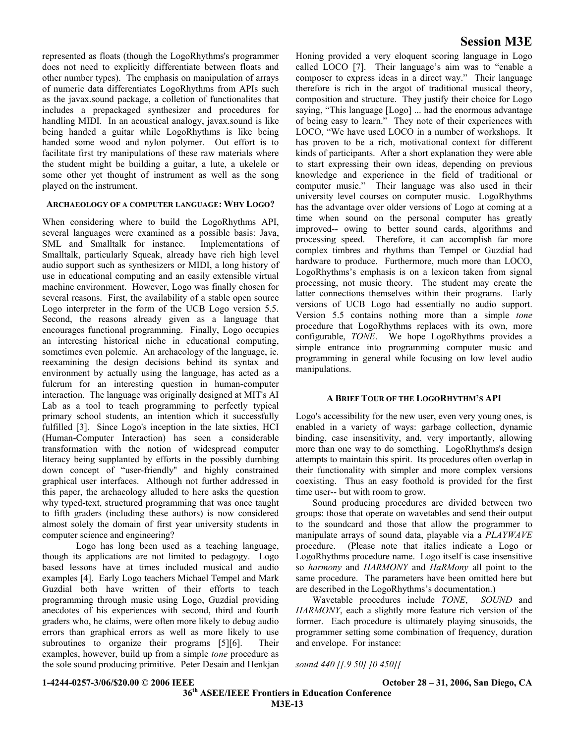represented as floats (though the LogoRhythms's programmer does not need to explicitly differentiate between floats and other number types). The emphasis on manipulation of arrays of numeric data differentiates LogoRhythms from APIs such as the javax.sound package, a colletion of functionalites that includes a prepackaged synthesizer and procedures for handling MIDI. In an acoustical analogy, javax.sound is like being handed a guitar while LogoRhythms is like being handed some wood and nylon polymer. Out effort is to facilitate first try manipulations of these raw materials where the student might be building a guitar, a lute, a ukelele or some other yet thought of instrument as well as the song played on the instrument.

## **ARCHAEOLOGY OF A COMPUTER LANGUAGE: WHY LOGO?**

When considering where to build the LogoRhythms API, several languages were examined as a possible basis: Java, SML and Smalltalk for instance. Implementations of Smalltalk, particularly Squeak, already have rich high level audio support such as synthesizers or MIDI, a long history of use in educational computing and an easily extensible virtual machine environment. However, Logo was finally chosen for several reasons. First, the availability of a stable open source Logo interpreter in the form of the UCB Logo version 5.5. Second, the reasons already given as a language that encourages functional programming. Finally, Logo occupies an interesting historical niche in educational computing, sometimes even polemic. An archaeology of the language, ie. reexamining the design decisions behind its syntax and environment by actually using the language, has acted as a fulcrum for an interesting question in human-computer interaction. The language was originally designed at MIT's AI Lab as a tool to teach programming to perfectly typical primary school students, an intention which it successfully fulfilled [3]. Since Logo's inception in the late sixties, HCI (Human-Computer Interaction) has seen a considerable transformation with the notion of widespread computer literacy being supplanted by efforts in the possibly dumbing down concept of "user-friendly'' and highly constrained graphical user interfaces. Although not further addressed in this paper, the archaeology alluded to here asks the question why typed-text, structured programming that was once taught to fifth graders (including these authors) is now considered almost solely the domain of first year university students in computer science and engineering?

 Logo has long been used as a teaching language, though its applications are not limited to pedagogy. Logo based lessons have at times included musical and audio examples [4]. Early Logo teachers Michael Tempel and Mark Guzdial both have written of their efforts to teach programming through music using Logo, Guzdial providing anecdotes of his experiences with second, third and fourth graders who, he claims, were often more likely to debug audio errors than graphical errors as well as more likely to use subroutines to organize their programs [5][6]. Their examples, however, build up from a simple *tone* procedure as the sole sound producing primitive. Peter Desain and Henkjan

# **Session M3E**

Honing provided a very eloquent scoring language in Logo called LOCO [7]. Their language's aim was to "enable a composer to express ideas in a direct way." Their language therefore is rich in the argot of traditional musical theory, composition and structure. They justify their choice for Logo saying, "This language [Logo] ... had the enormous advantage of being easy to learn." They note of their experiences with LOCO, "We have used LOCO in a number of workshops. It has proven to be a rich, motivational context for different kinds of participants. After a short explanation they were able to start expressing their own ideas, depending on previous knowledge and experience in the field of traditional or computer music." Their language was also used in their university level courses on computer music. LogoRhythms has the advantage over older versions of Logo at coming at a time when sound on the personal computer has greatly improved-- owing to better sound cards, algorithms and processing speed. Therefore, it can accomplish far more complex timbres and rhythms than Tempel or Guzdial had hardware to produce. Furthermore, much more than LOCO, LogoRhythms's emphasis is on a lexicon taken from signal processing, not music theory. The student may create the latter connections themselves within their programs. Early versions of UCB Logo had essentially no audio support. Version 5.5 contains nothing more than a simple *tone* procedure that LogoRhythms replaces with its own, more configurable, *TONE*. We hope LogoRhythms provides a simple entrance into programming computer music and programming in general while focusing on low level audio manipulations.

## **A BRIEF TOUR OF THE LOGORHYTHM'S API**

Logo's accessibility for the new user, even very young ones, is enabled in a variety of ways: garbage collection, dynamic binding, case insensitivity, and, very importantly, allowing more than one way to do something. LogoRhythms's design attempts to maintain this spirit. Its procedures often overlap in their functionality with simpler and more complex versions coexisting. Thus an easy foothold is provided for the first time user-- but with room to grow.

Sound producing procedures are divided between two groups: those that operate on wavetables and send their output to the soundcard and those that allow the programmer to manipulate arrays of sound data, playable via a *PLAYWAVE* procedure. (Please note that italics indicate a Logo or LogoRhythms procedure name. Logo itself is case insensitive so *harmony* and *HARMONY* and *HaRMony* all point to the same procedure. The parameters have been omitted here but are described in the LogoRhythms's documentation.)

Wavetable procedures include *TONE*, *SOUND* and *HARMONY*, each a slightly more feature rich version of the former. Each procedure is ultimately playing sinusoids, the programmer setting some combination of frequency, duration and envelope. For instance:

*sound 440 [[.9 50] [0 450]]* 

**1-4244-0257-3/06/\$20.00 © 2006 IEEE October 28 – 31, 2006, San Diego, CA**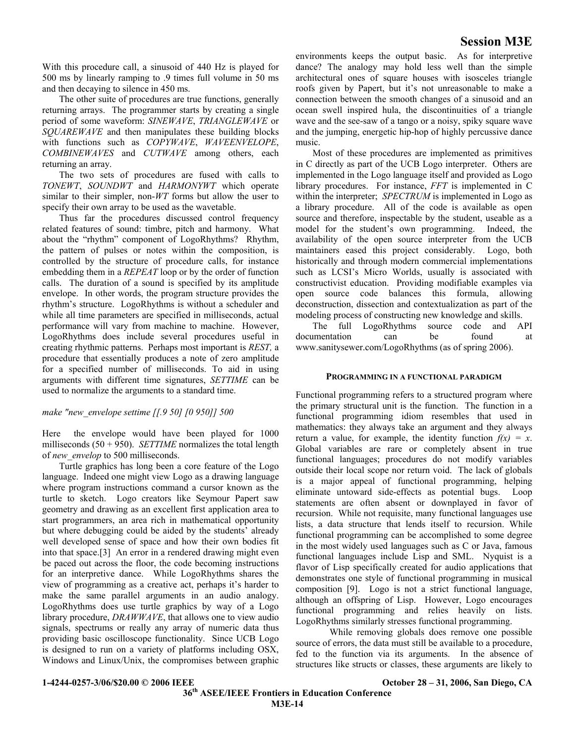# **Session M3E**

With this procedure call, a sinusoid of 440 Hz is played for 500 ms by linearly ramping to .9 times full volume in 50 ms and then decaying to silence in 450 ms.

The other suite of procedures are true functions, generally returning arrays. The programmer starts by creating a single period of some waveform: *SINEWAVE*, *TRIANGLEWAVE* or *SQUAREWAVE* and then manipulates these building blocks with functions such as *COPYWAVE*, *WAVEENVELOPE*, *COMBINEWAVES* and *CUTWAVE* among others, each returning an array.

The two sets of procedures are fused with calls to *TONEWT*, *SOUNDWT* and *HARMONYWT* which operate similar to their simpler, non-*WT* forms but allow the user to specify their own array to be used as the wavetable.

Thus far the procedures discussed control frequency related features of sound: timbre, pitch and harmony. What about the "rhythm" component of LogoRhythms? Rhythm, the pattern of pulses or notes within the composition, is controlled by the structure of procedure calls, for instance embedding them in a *REPEAT* loop or by the order of function calls. The duration of a sound is specified by its amplitude envelope. In other words, the program structure provides the rhythm's structure. LogoRhythms is without a scheduler and while all time parameters are specified in milliseconds, actual performance will vary from machine to machine. However, LogoRhythms does include several procedures useful in creating rhythmic patterns. Perhaps most important is *REST,* a procedure that essentially produces a note of zero amplitude for a specified number of milliseconds. To aid in using arguments with different time signatures, *SETTIME* can be used to normalize the arguments to a standard time.

## *make "new\_envelope settime [[.9 50] [0 950]] 500*

Here the envelope would have been played for 1000 milliseconds  $(50 + 950)$ . *SETTIME* normalizes the total length of *new\_envelop* to 500 milliseconds.

Turtle graphics has long been a core feature of the Logo language. Indeed one might view Logo as a drawing language where program instructions command a cursor known as the turtle to sketch. Logo creators like Seymour Papert saw geometry and drawing as an excellent first application area to start programmers, an area rich in mathematical opportunity but where debugging could be aided by the students' already well developed sense of space and how their own bodies fit into that space.[3] An error in a rendered drawing might even be paced out across the floor, the code becoming instructions for an interpretive dance. While LogoRhythms shares the view of programming as a creative act, perhaps it's harder to make the same parallel arguments in an audio analogy. LogoRhythms does use turtle graphics by way of a Logo library procedure, *DRAWWAVE*, that allows one to view audio signals, spectrums or really any array of numeric data thus providing basic oscilloscope functionality. Since UCB Logo is designed to run on a variety of platforms including OSX, Windows and Linux/Unix, the compromises between graphic

environments keeps the output basic. As for interpretive dance? The analogy may hold less well than the simple architectural ones of square houses with isosceles triangle roofs given by Papert, but it's not unreasonable to make a connection between the smooth changes of a sinusoid and an ocean swell inspired hula, the discontinuities of a triangle wave and the see-saw of a tango or a noisy, spiky square wave and the jumping, energetic hip-hop of highly percussive dance music.

Most of these procedures are implemented as primitives in C directly as part of the UCB Logo interpreter. Others are implemented in the Logo language itself and provided as Logo library procedures. For instance, *FFT* is implemented in C within the interpreter; *SPECTRUM* is implemented in Logo as a library procedure. All of the code is available as open source and therefore, inspectable by the student, useable as a model for the student's own programming. Indeed, the availability of the open source interpreter from the UCB maintainers eased this project considerably. Logo, both historically and through modern commercial implementations such as LCSI's Micro Worlds, usually is associated with constructivist education. Providing modifiable examples via open source code balances this formula, allowing deconstruction, dissection and contextualization as part of the modeling process of constructing new knowledge and skills.

The full LogoRhythms source code and API documentation can be found at www.sanitysewer.com/LogoRhythms (as of spring 2006).

## **PROGRAMMING IN A FUNCTIONAL PARADIGM**

Functional programming refers to a structured program where the primary structural unit is the function. The function in a functional programming idiom resembles that used in mathematics: they always take an argument and they always return a value, for example, the identity function  $f(x) = x$ . Global variables are rare or completely absent in true functional languages; procedures do not modify variables outside their local scope nor return void. The lack of globals is a major appeal of functional programming, helping eliminate untoward side-effects as potential bugs. Loop statements are often absent or downplayed in favor of recursion. While not requisite, many functional languages use lists, a data structure that lends itself to recursion. While functional programming can be accomplished to some degree in the most widely used languages such as C or Java, famous functional languages include Lisp and SML. Nyquist is a flavor of Lisp specifically created for audio applications that demonstrates one style of functional programming in musical composition [9]. Logo is not a strict functional language, although an offspring of Lisp. However, Logo encourages functional programming and relies heavily on lists. LogoRhythms similarly stresses functional programming.

While removing globals does remove one possible source of errors, the data must still be available to a procedure, fed to the function via its arguments. In the absence of structures like structs or classes, these arguments are likely to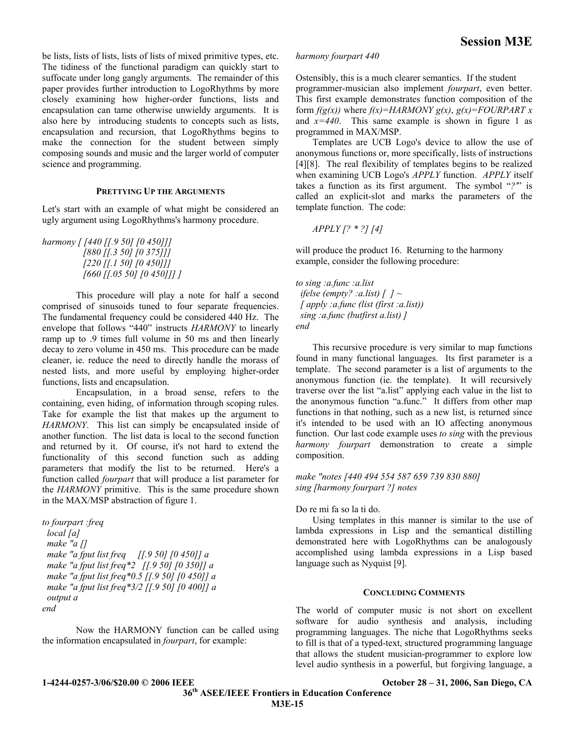be lists, lists of lists, lists of lists of mixed primitive types, etc. The tidiness of the functional paradigm can quickly start to suffocate under long gangly arguments. The remainder of this paper provides further introduction to LogoRhythms by more closely examining how higher-order functions, lists and encapsulation can tame otherwise unwieldy arguments. It is also here by introducing students to concepts such as lists, encapsulation and recursion, that LogoRhythms begins to make the connection for the student between simply composing sounds and music and the larger world of computer science and programming.

## **PRETTYING UP THE ARGUMENTS**

Let's start with an example of what might be considered an ugly argument using LogoRhythms's harmony procedure.

```
harmony [ [440 [[.9 50] [0 450]]] 
[880 [[.3 50] [0 375]]] 
[220 [[.1 50] [0 450]]] 
 [660 [[.05 50] [0 450]]] ]
```
This procedure will play a note for half a second comprised of sinusoids tuned to four separate frequencies. The fundamental frequency could be considered 440 Hz. The envelope that follows "440" instructs *HARMONY* to linearly ramp up to .9 times full volume in 50 ms and then linearly decay to zero volume in 450 ms. This procedure can be made cleaner, ie. reduce the need to directly handle the morass of nested lists, and more useful by employing higher-order functions, lists and encapsulation.

Encapsulation, in a broad sense, refers to the containing, even hiding, of information through scoping rules. Take for example the list that makes up the argument to *HARMONY*. This list can simply be encapsulated inside of another function. The list data is local to the second function and returned by it. Of course, it's not hard to extend the functionality of this second function such as adding parameters that modify the list to be returned. Here's a function called *fourpart* that will produce a list parameter for the *HARMONY* primitive. This is the same procedure shown in the MAX/MSP abstraction of figure 1.

*to fourpart :freq local [a] make "a [] make "a fput list freq [[.9 50] [0 450]] a make "a fput list freq\*2 [[.9 50] [0 350]] a make "a fput list freq\*0.5 [[.9 50] [0 450]] a make "a fput list freq\*3/2 [[.9 50] [0 400]] a output a end*

Now the HARMONY function can be called using the information encapsulated in *fourpart*, for example:

#### *harmony fourpart 440*

Ostensibly, this is a much clearer semantics. If the student programmer-musician also implement *fourpart*, even better. This first example demonstrates function composition of the form  $f(g(x))$  where  $f(x) = HARMONY g(x), g(x) = FOURPART x$ and  $x=440$ . This same example is shown in figure 1 as programmed in MAX/MSP.

Templates are UCB Logo's device to allow the use of anonymous functions or, more specifically, lists of instructions [4][8]. The real flexibility of templates begins to be realized when examining UCB Logo's *APPLY* function. *APPLY* itself takes a function as its first argument. The symbol "*?'*" is called an explicit-slot and marks the parameters of the template function. The code:

*APPLY [? \* ?] [4]* 

will produce the product 16. Returning to the harmony example, consider the following procedure:

*to sing :a.func :a.list ifelse (empty? :a.list) [ ] ~ [ apply :a.func (list (first :a.list)) sing :a.func (butfirst a.list) ] end* 

This recursive procedure is very similar to map functions found in many functional languages. Its first parameter is a template. The second parameter is a list of arguments to the anonymous function (ie. the template). It will recursively traverse over the list "a.list" applying each value in the list to the anonymous function "a.func." It differs from other map functions in that nothing, such as a new list, is returned since it's intended to be used with an IO affecting anonymous function. Our last code example uses *to sing* with the previous *harmony fourpart* demonstration to create a simple composition.

*make "notes [440 494 554 587 659 739 830 880] sing [harmony fourpart ?] notes* 

#### Do re mi fa so la ti do.

Using templates in this manner is similar to the use of lambda expressions in Lisp and the semantical distilling demonstrated here with LogoRhythms can be analogously accomplished using lambda expressions in a Lisp based language such as Nyquist [9].

#### **CONCLUDING COMMENTS**

The world of computer music is not short on excellent software for audio synthesis and analysis, including programming languages. The niche that LogoRhythms seeks to fill is that of a typed-text, structured programming language that allows the student musician-programmer to explore low level audio synthesis in a powerful, but forgiving language, a

#### **1-4244-0257-3/06/\$20.00 © 2006 IEEE October 28 – 31, 2006, San Diego, CA**